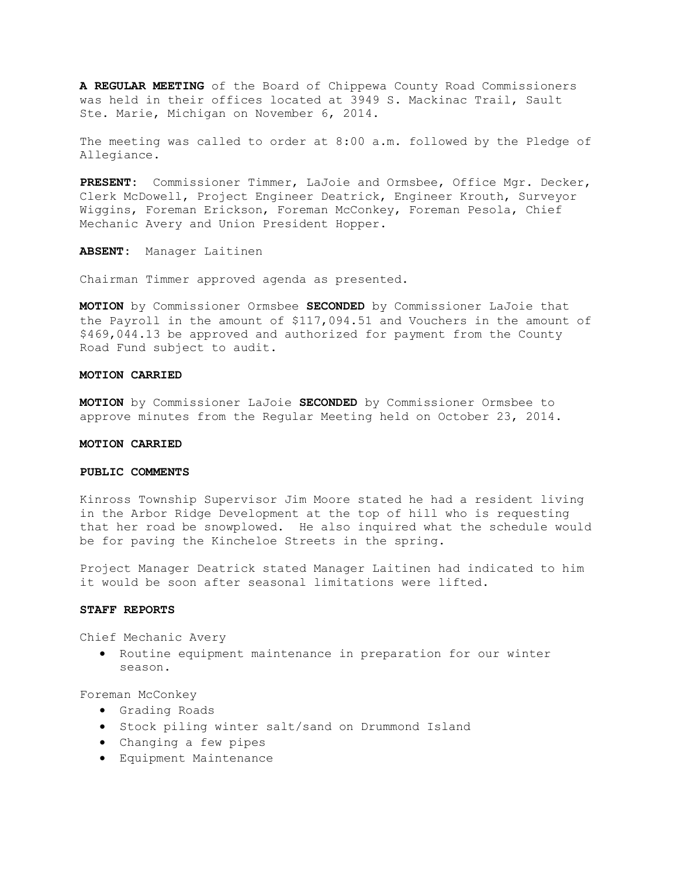**A REGULAR MEETING** of the Board of Chippewa County Road Commissioners was held in their offices located at 3949 S. Mackinac Trail, Sault Ste. Marie, Michigan on November 6, 2014.

The meeting was called to order at 8:00 a.m. followed by the Pledge of Allegiance.

**PRESENT:** Commissioner Timmer, LaJoie and Ormsbee, Office Mgr. Decker, Clerk McDowell, Project Engineer Deatrick, Engineer Krouth, Surveyor Wiggins, Foreman Erickson, Foreman McConkey, Foreman Pesola, Chief Mechanic Avery and Union President Hopper.

**ABSENT:** Manager Laitinen

Chairman Timmer approved agenda as presented.

**MOTION** by Commissioner Ormsbee **SECONDED** by Commissioner LaJoie that the Payroll in the amount of \$117,094.51 and Vouchers in the amount of \$469,044.13 be approved and authorized for payment from the County Road Fund subject to audit.

#### **MOTION CARRIED**

**MOTION** by Commissioner LaJoie **SECONDED** by Commissioner Ormsbee to approve minutes from the Regular Meeting held on October 23, 2014.

# **MOTION CARRIED**

# **PUBLIC COMMENTS**

Kinross Township Supervisor Jim Moore stated he had a resident living in the Arbor Ridge Development at the top of hill who is requesting that her road be snowplowed. He also inquired what the schedule would be for paving the Kincheloe Streets in the spring.

Project Manager Deatrick stated Manager Laitinen had indicated to him it would be soon after seasonal limitations were lifted.

# **STAFF REPORTS**

Chief Mechanic Avery

· Routine equipment maintenance in preparation for our winter season.

Foreman McConkey

- · Grading Roads
- · Stock piling winter salt/sand on Drummond Island
- · Changing a few pipes
- · Equipment Maintenance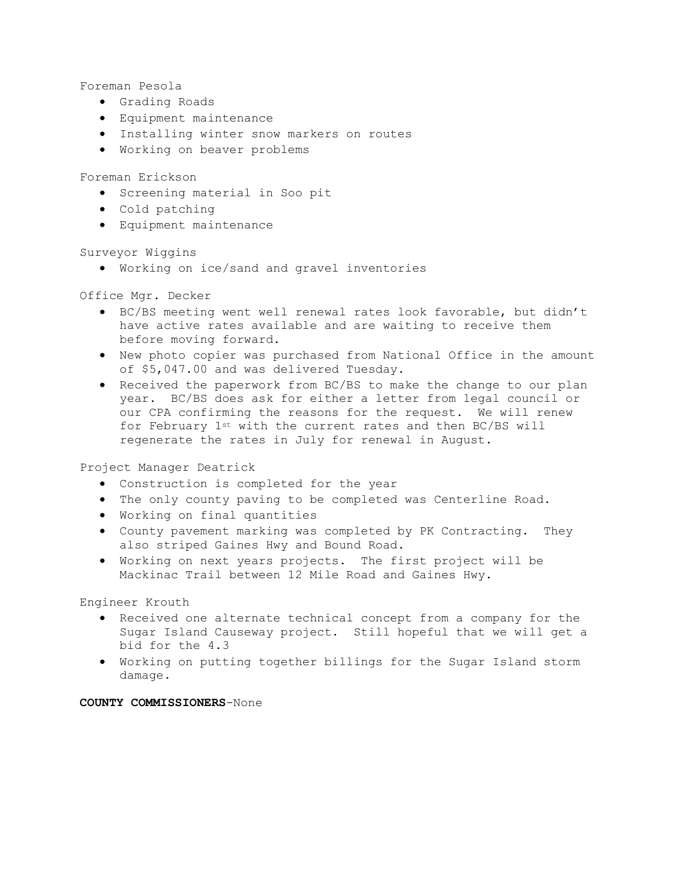Foreman Pesola

- · Grading Roads
- · Equipment maintenance
- · Installing winter snow markers on routes
- · Working on beaver problems

Foreman Erickson

- · Screening material in Soo pit
- · Cold patching
- · Equipment maintenance

Surveyor Wiggins

· Working on ice/sand and gravel inventories

Office Mgr. Decker

- · BC/BS meeting went well renewal rates look favorable, but didn't have active rates available and are waiting to receive them before moving forward.
- · New photo copier was purchased from National Office in the amount of \$5,047.00 and was delivered Tuesday.
- · Received the paperwork from BC/BS to make the change to our plan year. BC/BS does ask for either a letter from legal council or our CPA confirming the reasons for the request. We will renew for February 1st with the current rates and then BC/BS will regenerate the rates in July for renewal in August.

Project Manager Deatrick

- · Construction is completed for the year
- · The only county paving to be completed was Centerline Road.
- · Working on final quantities
- · County pavement marking was completed by PK Contracting. They also striped Gaines Hwy and Bound Road.
- · Working on next years projects. The first project will be Mackinac Trail between 12 Mile Road and Gaines Hwy.

Engineer Krouth

- · Received one alternate technical concept from a company for the Sugar Island Causeway project. Still hopeful that we will get a bid for the 4.3
- · Working on putting together billings for the Sugar Island storm damage.

**COUNTY COMMISSIONERS**-None